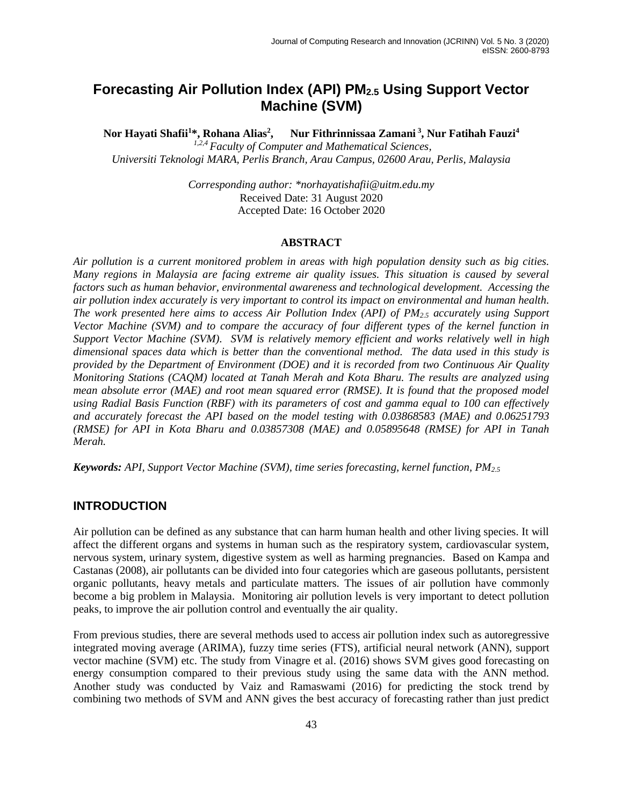# **Forecasting Air Pollution Index (API) PM2.5 Using Support Vector Machine (SVM)**

**Nor Hayati Shafii<sup>1</sup>\*, Rohana Alias<sup>2</sup> , Nur Fithrinnissaa Zamani <sup>3</sup>** Nur Fithrinnissaa Zamani<sup>3</sup>, Nur Fatihah Fauzi<sup>4</sup> *1,2,4 Faculty of Computer and Mathematical Sciences, Universiti Teknologi MARA, Perlis Branch, Arau Campus, 02600 Arau, Perlis, Malaysia*

> *Corresponding author: \*norhayatishafii@uitm.edu.my* Received Date: 31 August 2020 Accepted Date: 16 October 2020

#### **ABSTRACT**

*Air pollution is a current monitored problem in areas with high population density such as big cities. Many regions in Malaysia are facing extreme air quality issues. This situation is caused by several factors such as human behavior, environmental awareness and technological development. Accessing the air pollution index accurately is very important to control its impact on environmental and human health. The work presented here aims to access Air Pollution Index (API) of PM2.5 accurately using Support Vector Machine (SVM) and to compare the accuracy of four different types of the kernel function in Support Vector Machine (SVM). SVM is relatively memory efficient and works relatively well in high dimensional spaces data which is better than the conventional method. The data used in this study is provided by the Department of Environment (DOE) and it is recorded from two Continuous Air Quality Monitoring Stations (CAQM) located at Tanah Merah and Kota Bharu. The results are analyzed using mean absolute error (MAE) and root mean squared error (RMSE). It is found that the proposed model using Radial Basis Function (RBF) with its parameters of cost and gamma equal to 100 can effectively and accurately forecast the API based on the model testing with 0.03868583 (MAE) and 0.06251793 (RMSE) for API in Kota Bharu and 0.03857308 (MAE) and 0.05895648 (RMSE) for API in Tanah Merah.*

*Keywords: API, Support Vector Machine (SVM), time series forecasting, kernel function, PM2.5*

### **INTRODUCTION**

Air pollution can be defined as any substance that can harm human health and other living species. It will affect the different organs and systems in human such as the respiratory system, cardiovascular system, nervous system, urinary system, digestive system as well as harming pregnancies. Based on Kampa and Castanas (2008), air pollutants can be divided into four categories which are gaseous pollutants, persistent organic pollutants, heavy metals and particulate matters. The issues of air pollution have commonly become a big problem in Malaysia. Monitoring air pollution levels is very important to detect pollution peaks, to improve the air pollution control and eventually the air quality.

From previous studies, there are several methods used to access air pollution index such as autoregressive integrated moving average (ARIMA), fuzzy time series (FTS), artificial neural network (ANN), support vector machine (SVM) etc. The study from Vinagre et al. (2016) shows SVM gives good forecasting on energy consumption compared to their previous study using the same data with the ANN method. Another study was conducted by Vaiz and Ramaswami (2016) for predicting the stock trend by combining two methods of SVM and ANN gives the best accuracy of forecasting rather than just predict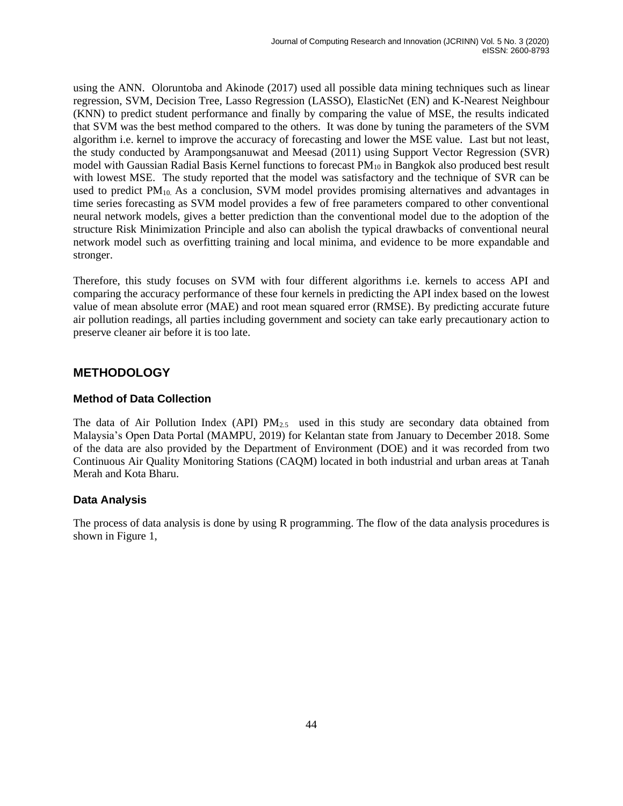using the ANN. Oloruntoba and Akinode (2017) used all possible data mining techniques such as linear regression, SVM, Decision Tree, Lasso Regression (LASSO), ElasticNet (EN) and K-Nearest Neighbour (KNN) to predict student performance and finally by comparing the value of MSE, the results indicated that SVM was the best method compared to the others. It was done by tuning the parameters of the SVM algorithm i.e. kernel to improve the accuracy of forecasting and lower the MSE value. Last but not least, the study conducted by Arampongsanuwat and Meesad (2011) using Support Vector Regression (SVR) model with Gaussian Radial Basis Kernel functions to forecast  $PM_{10}$  in Bangkok also produced best result with lowest MSE. The study reported that the model was satisfactory and the technique of SVR can be used to predict  $PM<sub>10</sub>$ . As a conclusion, SVM model provides promising alternatives and advantages in time series forecasting as SVM model provides a few of free parameters compared to other conventional neural network models, gives a better prediction than the conventional model due to the adoption of the structure Risk Minimization Principle and also can abolish the typical drawbacks of conventional neural network model such as overfitting training and local minima, and evidence to be more expandable and stronger.

Therefore, this study focuses on SVM with four different algorithms i.e. kernels to access API and comparing the accuracy performance of these four kernels in predicting the API index based on the lowest value of mean absolute error (MAE) and root mean squared error (RMSE). By predicting accurate future air pollution readings, all parties including government and society can take early precautionary action to preserve cleaner air before it is too late.

## **METHODOLOGY**

## **Method of Data Collection**

The data of Air Pollution Index (API)  $PM_{2.5}$  used in this study are secondary data obtained from Malaysia's Open Data Portal (MAMPU, 2019) for Kelantan state from January to December 2018. Some of the data are also provided by the Department of Environment (DOE) and it was recorded from two Continuous Air Quality Monitoring Stations (CAQM) located in both industrial and urban areas at Tanah Merah and Kota Bharu.

## **Data Analysis**

The process of data analysis is done by using R programming. The flow of the data analysis procedures is shown in Figure 1,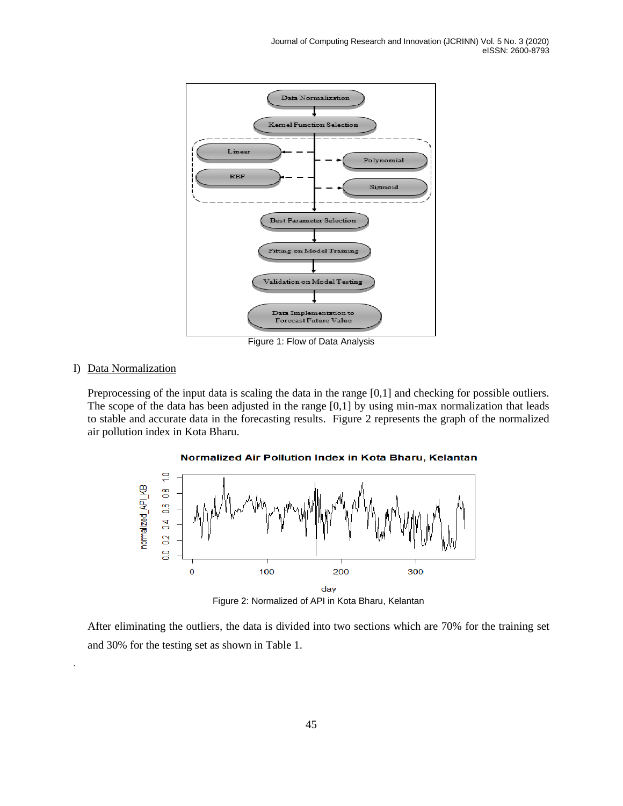

Figure 1: Flow of Data Analysis

#### I) Data Normalization

.

Preprocessing of the input data is scaling the data in the range [0,1] and checking for possible outliers. The scope of the data has been adjusted in the range [0,1] by using min-max normalization that leads to stable and accurate data in the forecasting results. Figure 2 represents the graph of the normalized air pollution index in Kota Bharu.



Normalized Air Pollution Index in Kota Bharu, Kelantan

After eliminating the outliers, the data is divided into two sections which are 70% for the training set and 30% for the testing set as shown in Table 1.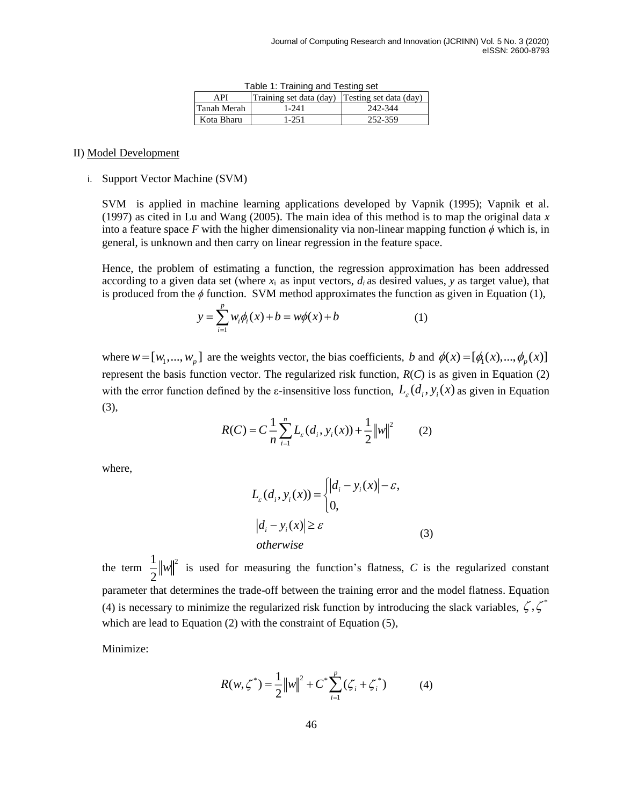| rabic r. rigining and results set |                                                |         |  |
|-----------------------------------|------------------------------------------------|---------|--|
| API                               | Training set data (day) Testing set data (day) |         |  |
| Tanah Merah                       | $1 - 241$                                      | 242-344 |  |
| Kota Bharu                        | 1-251                                          | 252-359 |  |

Table 1: Training and Testing set

#### II) Model Development

## i. Support Vector Machine (SVM)

SVM is applied in machine learning applications developed by Vapnik (1995); Vapnik et al. (1997) as cited in Lu and Wang (2005). The main idea of this method is to map the original data *x* into a feature space  $F$  with the higher dimensionality via non-linear mapping function  $\phi$  which is, in general, is unknown and then carry on linear regression in the feature space.

Hence, the problem of estimating a function, the regression approximation has been addressed according to a given data set (where  $x_i$  as input vectors,  $d_i$  as desired values,  $y$  as target value), that is produced from the  $\phi$  function. SVM method approximates the function as given in Equation (1),

$$
y = \sum_{i=1}^{p} w_i \phi_i(x) + b = w\phi(x) + b \tag{1}
$$

where  $w = [w_1, ..., w_p]$  are the weights vector, the bias coefficients, b and  $\phi(x) = [\phi_1(x), ..., \phi_p(x)]$ represent the basis function vector. The regularized risk function,  $R(C)$  is as given in Equation (2) with the error function defined by the  $\varepsilon$ -insensitive loss function,  $L_{\varepsilon}(d_i, y_i(x))$  as given in Equation (3),

$$
R(C) = C \frac{1}{n} \sum_{i=1}^{n} L_{\varepsilon}(d_i, y_i(x)) + \frac{1}{2} ||w||^2
$$
 (2)

where,

$$
L_{\varepsilon}(d_i, y_i(x)) = \begin{cases} |d_i - y_i(x)| - \varepsilon, \\ 0, \end{cases}
$$
  
\n
$$
|d_i - y_i(x)| \ge \varepsilon
$$
 (3)  
\notherwise

the term  $\frac{1}{2}||w||^2$ 2  $\|w\|$ <sup>2</sup> is used for measuring the function's flatness, *C* is the regularized constant parameter that determines the trade-off between the training error and the model flatness. Equation (4) is necessary to minimize the regularized risk function by introducing the slack variables,  $\zeta$ ,  $\zeta^*$ which are lead to Equation (2) with the constraint of Equation (5),

Minimize:

$$
R(w, \zeta^*) = \frac{1}{2} ||w||^2 + C^* \sum_{i=1}^p (\zeta_i + \zeta_i^*)
$$
 (4)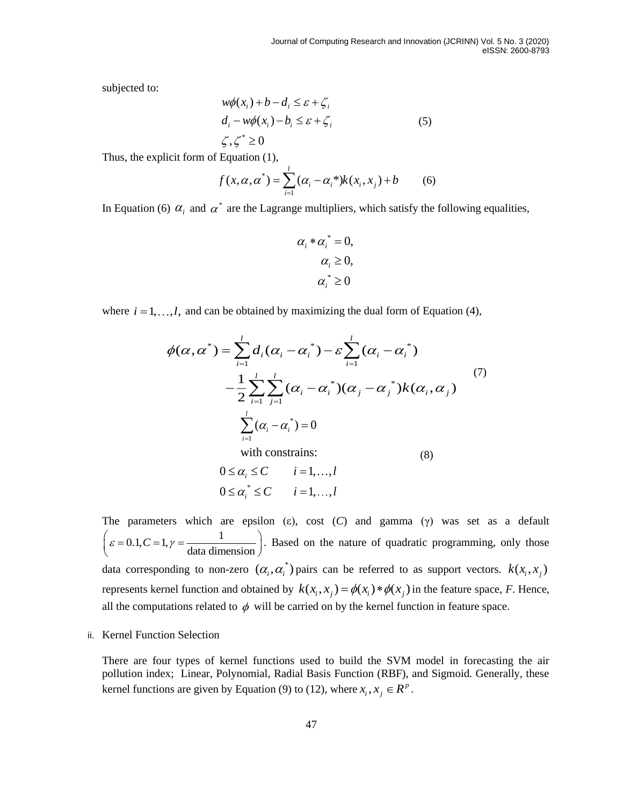subjected to:

$$
w\phi(x_i) + b - d_i \leq \varepsilon + \zeta_i
$$
  
\n
$$
d_i - w\phi(x_i) - b_i \leq \varepsilon + \zeta_i
$$
  
\n
$$
\zeta, \zeta^* \geq 0
$$
\n(5)

Thus, the explicit form of Equation (1),

$$
f(x, \alpha, \alpha^*) = \sum_{i=1}^{l} (\alpha_i - \alpha_i^*) k(x_i, x_j) + b \tag{6}
$$

In Equation (6)  $\alpha_i$  and  $\alpha^*$  are the Lagrange multipliers, which satisfy the following equalities,

$$
\alpha_i * \alpha_i^* = 0,
$$
  
\n
$$
\alpha_i \ge 0,
$$
  
\n
$$
\alpha_i^* \ge 0
$$

where  $i = 1, \ldots, l$ , and can be obtained by maximizing the dual form of Equation (4),

$$
\phi(\alpha, \alpha^*) = \sum_{i=1}^l d_i (\alpha_i - \alpha_i^*) - \varepsilon \sum_{i=1}^l (\alpha_i - \alpha_i^*)
$$
  
\n
$$
- \frac{1}{2} \sum_{i=1}^l \sum_{j=1}^l (\alpha_i - \alpha_i^*) (\alpha_j - \alpha_j^*) k(\alpha_i, \alpha_j)
$$
  
\n
$$
\sum_{i=1}^l (\alpha_i - \alpha_i^*) = 0
$$
  
\nwith constraints: (8)

$$
0 \le \alpha_i \le C \qquad i = 1, \dots, l
$$
  

$$
0 \le \alpha_i^* \le C \qquad i = 1, \dots, l
$$

The parameters which are epsilon (ε), cost (*C*) and gamma (γ) was set as a default  $\left(\varepsilon = 0.1, C = 1, \gamma = \frac{1}{\text{data dimension}}\right)$ . Based on the nature of quadratic programming, only those data corresponding to non-zero  $(\alpha_i, \alpha_i^*)$  pairs can be referred to as support vectors.  $k(x_i, x_j)$ represents kernel function and obtained by  $k(x_i, x_j) = \phi(x_i) * \phi(x_j)$  in the feature space, F. Hence, all the computations related to  $\phi$  will be carried on by the kernel function in feature space.

ii. Kernel Function Selection

There are four types of kernel functions used to build the SVM model in forecasting the air pollution index; Linear, Polynomial, Radial Basis Function (RBF), and Sigmoid. Generally, these kernel functions are given by Equation (9) to (12), where  $x_i, x_j \in \mathbb{R}^p$ .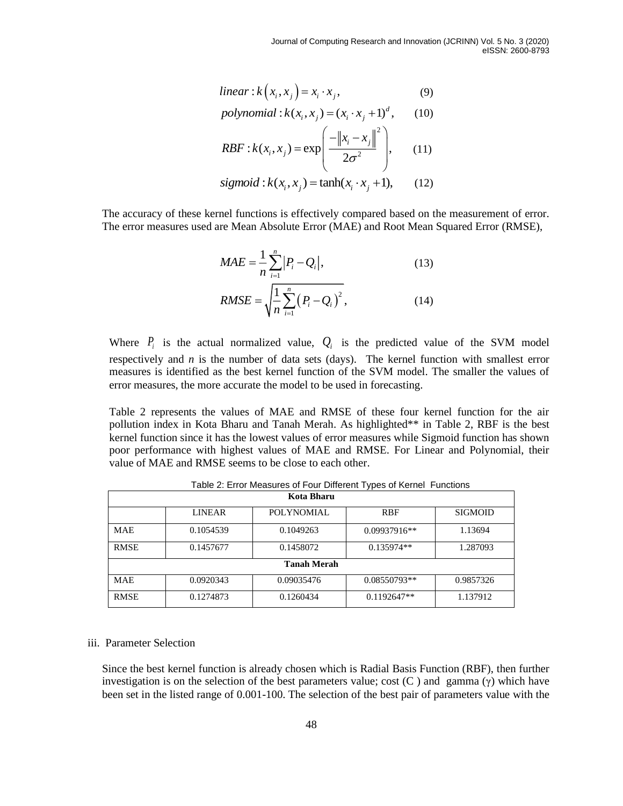$$
linear: k(x_i, x_j) = x_i \cdot x_j,
$$
\n(9)

$$
t = x_1 \cdot k(x_i, x_j) = x_i \cdot x_j,
$$
\n(9)  
\n
$$
polynomial: k(x_i, x_j) = (x_i \cdot x_j + 1)^d,
$$
\n(10)

$$
RBF: k(x_i, x_j) = \exp\left(\frac{-\left\|x_i - x_j\right\|^2}{2\sigma^2}\right), \quad (10)
$$
\n
$$
RBF: k(x_i, x_j) = \exp\left(\frac{-\left\|x_i - x_j\right\|^2}{2\sigma^2}\right), \quad (11)
$$

$$
sigmoid: k(x_i, x_j) = \tanh(x_i \cdot x_j + 1), \qquad (12)
$$

The accuracy of these kernel functions is effectively compared based on the measurement of error. The error measures used are Mean Absolute Error (MAE) and Root Mean Squared Error (RMSE),

$$
MAE = \frac{1}{n} \sum_{i=1}^{n} |P_i - Q_i|,
$$
 (13)

RMSE = 
$$
\sqrt{\frac{1}{n} \sum_{i=1}^{n} (P_i - Q_i)^2}
$$
, (14)

Where  $P_i$  is the actual normalized value,  $Q_i$  is the predicted value of the SVM model respectively and *n* is the number of data sets (days). The kernel function with smallest error measures is identified as the best kernel function of the SVM model. The smaller the values of error measures, the more accurate the model to be used in forecasting.

Table 2 represents the values of MAE and RMSE of these four kernel function for the air pollution index in Kota Bharu and Tanah Merah. As highlighted\*\* in Table 2, RBF is the best kernel function since it has the lowest values of error measures while Sigmoid function has shown poor performance with highest values of MAE and RMSE. For Linear and Polynomial, their value of MAE and RMSE seems to be close to each other.

| <b>Kota Bharu</b>  |               |                                       |               |                |  |
|--------------------|---------------|---------------------------------------|---------------|----------------|--|
|                    | <b>LINEAR</b> | POLYNOMIAL                            | <b>RBF</b>    | <b>SIGMOID</b> |  |
| <b>MAE</b>         | 0.1054539     | 0.1049263                             | 0.09937916**  | 1.13694        |  |
| <b>RMSE</b>        | 0.1457677     | 0.1458072<br>$0.135974**$<br>1.287093 |               |                |  |
| <b>Tanah Merah</b> |               |                                       |               |                |  |
| <b>MAE</b>         | 0.0920343     | 0.09035476                            | 0.08550793**  | 0.9857326      |  |
| <b>RMSE</b>        | 0.1274873     | 0.1260434                             | $0.1192647**$ | 1.137912       |  |

Table 2: Error Measures of Four Different Types of Kernel Functions

#### iii. Parameter Selection

Since the best kernel function is already chosen which is Radial Basis Function (RBF), then further investigation is on the selection of the best parameters value; cost  $(C)$  and gamma  $(\gamma)$  which have been set in the listed range of 0.001-100. The selection of the best pair of parameters value with the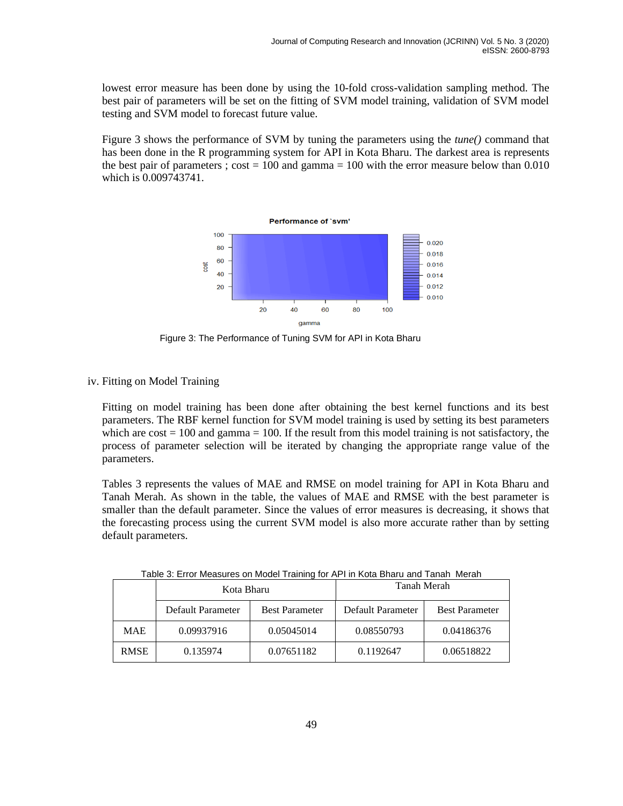lowest error measure has been done by using the 10-fold cross-validation sampling method. The best pair of parameters will be set on the fitting of SVM model training, validation of SVM model testing and SVM model to forecast future value.

Figure 3 shows the performance of SVM by tuning the parameters using the *tune()* command that has been done in the R programming system for API in Kota Bharu. The darkest area is represents the best pair of parameters ;  $cost = 100$  and gamma = 100 with the error measure below than 0.010 which is 0.009743741.



Figure 3: The Performance of Tuning SVM for API in Kota Bharu

iv. Fitting on Model Training

Fitting on model training has been done after obtaining the best kernel functions and its best parameters. The RBF kernel function for SVM model training is used by setting its best parameters which are  $cost = 100$  and gamma  $= 100$ . If the result from this model training is not satisfactory, the process of parameter selection will be iterated by changing the appropriate range value of the parameters.

Tables 3 represents the values of MAE and RMSE on model training for API in Kota Bharu and Tanah Merah. As shown in the table, the values of MAE and RMSE with the best parameter is smaller than the default parameter. Since the values of error measures is decreasing, it shows that the forecasting process using the current SVM model is also more accurate rather than by setting default parameters.

|             | Kota Bharu               |                       | Tanah Merah       |                       |  |
|-------------|--------------------------|-----------------------|-------------------|-----------------------|--|
|             | Default Parameter        | <b>Best Parameter</b> | Default Parameter | <b>Best Parameter</b> |  |
| <b>MAE</b>  | 0.05045014<br>0.09937916 |                       | 0.08550793        | 0.04186376            |  |
| <b>RMSE</b> | 0.135974                 | 0.07651182            | 0.1192647         | 0.06518822            |  |

| Table 3: Error Measures on Model Training for API in Kota Bharu and Tanah Merah |  |  |  |
|---------------------------------------------------------------------------------|--|--|--|
|                                                                                 |  |  |  |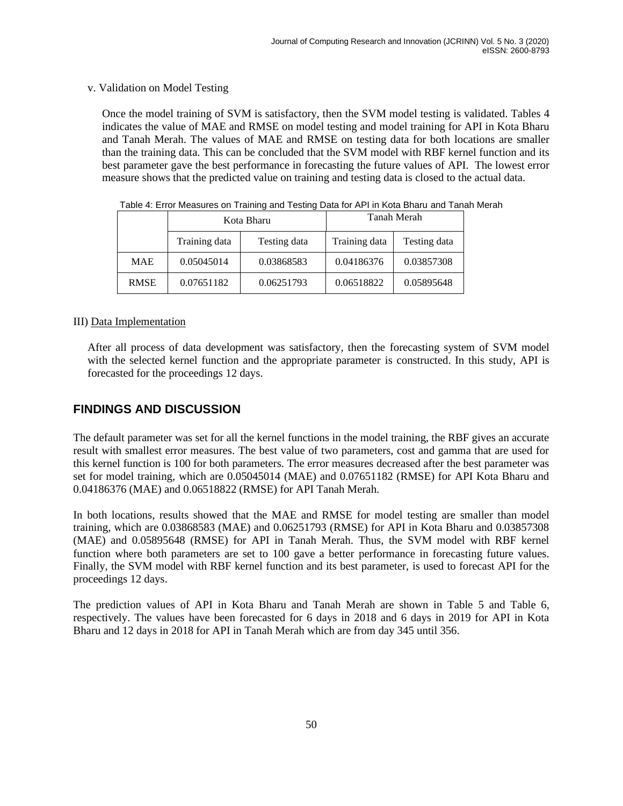## v. Validation on Model Testing

Once the model training of SVM is satisfactory, then the SVM model testing is validated. Tables 4 indicates the value of MAE and RMSE on model testing and model training for API in Kota Bharu and Tanah Merah. The values of MAE and RMSE on testing data for both locations are smaller than the training data. This can be concluded that the SVM model with RBF kernel function and its best parameter gave the best performance in forecasting the future values of API. The lowest error measure shows that the predicted value on training and testing data is closed to the actual data.

|                                                | Kota Bharu |              | Tanah Merah |            |  |
|------------------------------------------------|------------|--------------|-------------|------------|--|
| Training data<br>Training data<br>Testing data |            | Testing data |             |            |  |
| <b>MAE</b>                                     | 0.05045014 | 0.03868583   | 0.04186376  | 0.03857308 |  |
| <b>RMSE</b>                                    | 0.07651182 | 0.06251793   | 0.06518822  | 0.05895648 |  |

Table 4: Error Measures on Training and Testing Data for API in Kota Bharu and Tanah Merah

## III) Data Implementation

After all process of data development was satisfactory, then the forecasting system of SVM model with the selected kernel function and the appropriate parameter is constructed. In this study, API is forecasted for the proceedings 12 days.

## **FINDINGS AND DISCUSSION**

The default parameter was set for all the kernel functions in the model training, the RBF gives an accurate result with smallest error measures. The best value of two parameters, cost and gamma that are used for this kernel function is 100 for both parameters. The error measures decreased after the best parameter was set for model training, which are 0.05045014 (MAE) and 0.07651182 (RMSE) for API Kota Bharu and 0.04186376 (MAE) and 0.06518822 (RMSE) for API Tanah Merah.

In both locations, results showed that the MAE and RMSE for model testing are smaller than model training, which are 0.03868583 (MAE) and 0.06251793 (RMSE) for API in Kota Bharu and 0.03857308 (MAE) and 0.05895648 (RMSE) for API in Tanah Merah. Thus, the SVM model with RBF kernel function where both parameters are set to 100 gave a better performance in forecasting future values. Finally, the SVM model with RBF kernel function and its best parameter, is used to forecast API for the proceedings 12 days.

The prediction values of API in Kota Bharu and Tanah Merah are shown in Table 5 and Table 6, respectively. The values have been forecasted for 6 days in 2018 and 6 days in 2019 for API in Kota Bharu and 12 days in 2018 for API in Tanah Merah which are from day 345 until 356.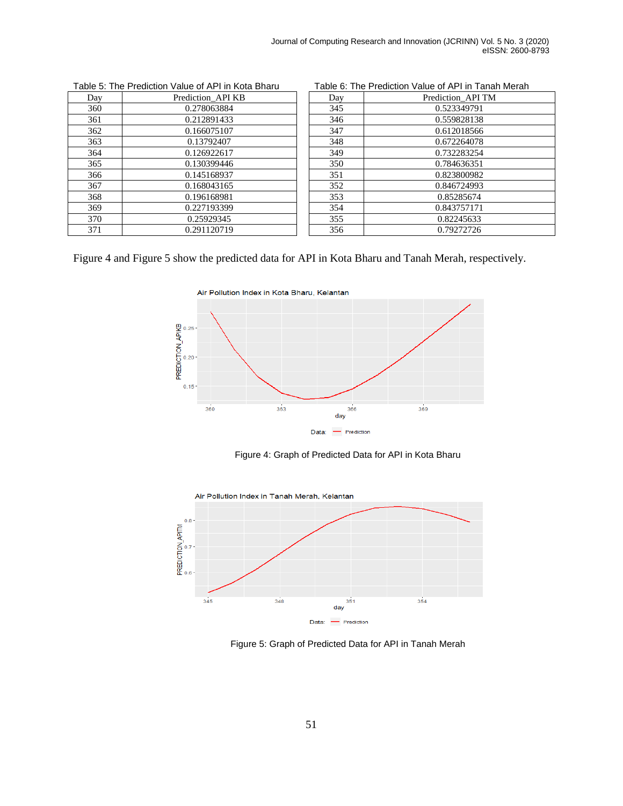| Day | Prediction API KB | Day | Prediction API TM |
|-----|-------------------|-----|-------------------|
| 360 | 0.278063884       | 345 | 0.523349791       |
| 361 | 0.212891433       | 346 | 0.559828138       |
| 362 | 0.166075107       | 347 | 0.612018566       |
| 363 | 0.13792407        | 348 | 0.672264078       |
| 364 | 0.126922617       | 349 | 0.732283254       |
| 365 | 0.130399446       | 350 | 0.784636351       |
| 366 | 0.145168937       | 351 | 0.823800982       |
| 367 | 0.168043165       | 352 | 0.846724993       |
| 368 | 0.196168981       | 353 | 0.85285674        |
| 369 | 0.227193399       | 354 | 0.843757171       |
| 370 | 0.25929345        | 355 | 0.82245633        |
| 371 | 0.291120719       | 356 | 0.79272726        |

| Day | Prediction_API TM |
|-----|-------------------|
| 345 | 0.523349791       |
| 346 | 0.559828138       |
| 347 | 0.612018566       |
| 348 | 0.672264078       |
| 349 | 0.732283254       |
| 350 | 0.784636351       |
| 351 | 0.823800982       |
| 352 | 0.846724993       |
| 353 | 0.85285674        |
| 354 | 0.843757171       |
| 355 | 0.82245633        |
| 356 | 0.79272726        |

Figure 4 and Figure 5 show the predicted data for API in Kota Bharu and Tanah Merah, respectively.



Figure 4: Graph of Predicted Data for API in Kota Bharu



Figure 5: Graph of Predicted Data for API in Tanah Merah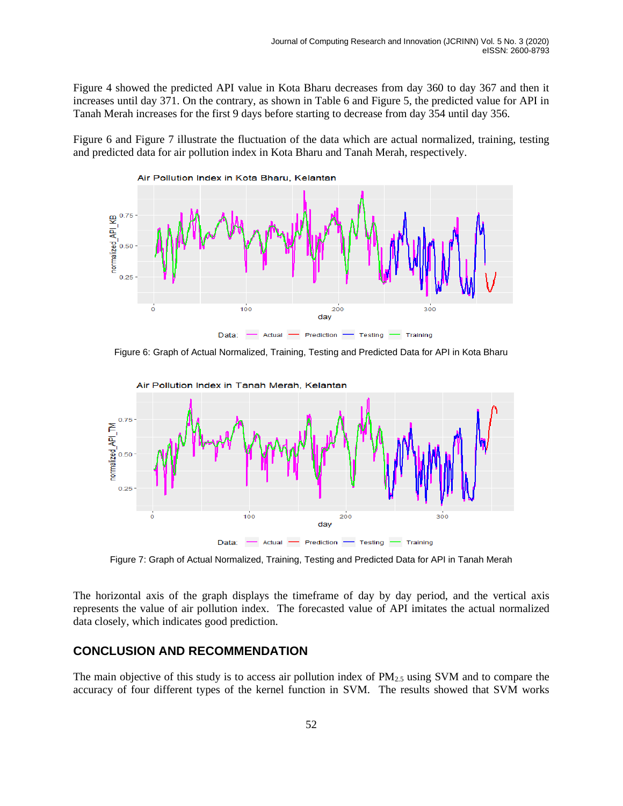Figure 4 showed the predicted API value in Kota Bharu decreases from day 360 to day 367 and then it increases until day 371. On the contrary, as shown in Table 6 and Figure 5, the predicted value for API in Tanah Merah increases for the first 9 days before starting to decrease from day 354 until day 356.

Figure 6 and Figure 7 illustrate the fluctuation of the data which are actual normalized, training, testing and predicted data for air pollution index in Kota Bharu and Tanah Merah, respectively.



Figure 6: Graph of Actual Normalized, Training, Testing and Predicted Data for API in Kota Bharu



Figure 7: Graph of Actual Normalized, Training, Testing and Predicted Data for API in Tanah Merah

The horizontal axis of the graph displays the timeframe of day by day period, and the vertical axis represents the value of air pollution index. The forecasted value of API imitates the actual normalized data closely, which indicates good prediction.

## **CONCLUSION AND RECOMMENDATION**

The main objective of this study is to access air pollution index of  $PM_{2.5}$  using SVM and to compare the accuracy of four different types of the kernel function in SVM. The results showed that SVM works